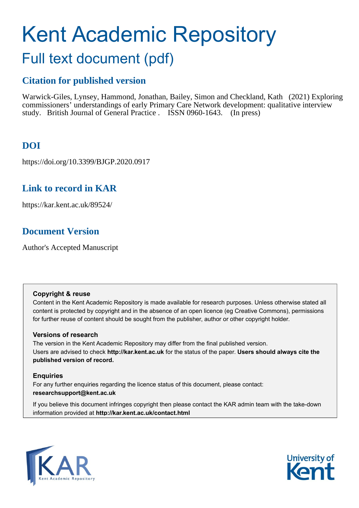# Kent Academic Repository

# Full text document (pdf)

# **Citation for published version**

Warwick-Giles, Lynsey, Hammond, Jonathan, Bailey, Simon and Checkland, Kath (2021) Exploring commissioners' understandings of early Primary Care Network development: qualitative interview study. British Journal of General Practice . ISSN 0960-1643. (In press)

# **DOI**

https://doi.org/10.3399/BJGP.2020.0917

# **Link to record in KAR**

https://kar.kent.ac.uk/89524/

# **Document Version**

Author's Accepted Manuscript

# **Copyright & reuse**

Content in the Kent Academic Repository is made available for research purposes. Unless otherwise stated all content is protected by copyright and in the absence of an open licence (eg Creative Commons), permissions for further reuse of content should be sought from the publisher, author or other copyright holder.

# **Versions of research**

The version in the Kent Academic Repository may differ from the final published version. Users are advised to check **http://kar.kent.ac.uk** for the status of the paper. **Users should always cite the published version of record.**

# **Enquiries**

For any further enquiries regarding the licence status of this document, please contact: **researchsupport@kent.ac.uk**

If you believe this document infringes copyright then please contact the KAR admin team with the take-down information provided at **http://kar.kent.ac.uk/contact.html**



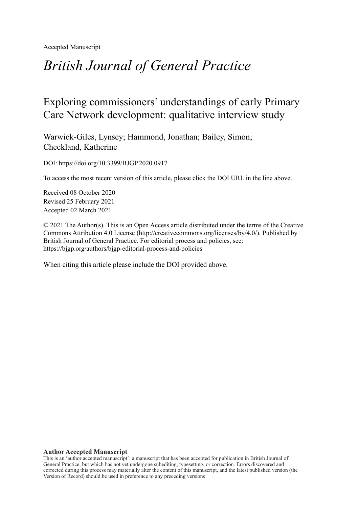Accepted Manuscript

# *British Journal of General Practice*

# Exploring commissioners' understandings of early Primary Care Network development: qualitative interview study

Warwick-Giles, Lynsey; Hammond, Jonathan; Bailey, Simon; Checkland, Katherine

DOI: https://doi.org/10.3399/BJGP.2020.0917

To access the most recent version of this article, please click the DOI URL in the line above.

Received 08 October 2020 Revised 25 February 2021 Accepted 02 March 2021

© 2021 The Author(s). This is an Open Access article distributed under the terms of the Creative Commons Attribution 4.0 License (http://creativecommons.org/licenses/by/4.0/). Published by British Journal of General Practice. For editorial process and policies, see: https://bjgp.org/authors/bjgp-editorial-process-and-policies

When citing this article please include the DOI provided above.

#### **Author Accepted Manuscript**

This is an 'author accepted manuscript': a manuscript that has been accepted for publication in British Journal of General Practice, but which has not yet undergone subediting, typesetting, or correction. Errors discovered and corrected during this process may materially alter the content of this manuscript, and the latest published version (the Version of Record) should be used in preference to any preceding versions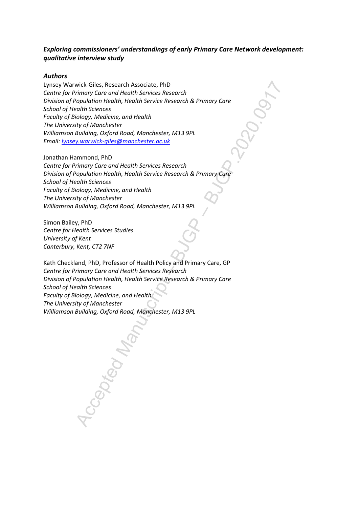# *Exploring commissioners' understandings of early Primary Care Network development: qualitative interview study*

#### *Authors*

wick-Gilles, Research Associate, PhD<br>winnay Core and Health Services Research<br>Population Health, Health Service Research & Primary Core<br>pointino Health, Health Service Research & Primary Core<br>in the Building, Oxford Road, Lynsey Warwick-Giles, Research Associate, PhD *Centre for Primary Care and Health Services Research Division of Population Health, Health Service Research & Primary Care School of Health Sciences Faculty of Biology, Medicine, and Health The University of Manchester Williamson Building, Oxford Road, Manchester, M13 9PL Email: lynsey.warwick-giles@manchester.ac.uk*

Jonathan Hammond, PhD *Centre for Primary Care and Health Services Research Division of Population Health, Health Service Research & Primary Care School of Health Sciences Faculty of Biology, Medicine, and Health The University of Manchester Williamson Building, Oxford Road, Manchester, M13 9PL*

Simon Bailey, PhD *Centre for Health Services Studies University of Kent Canterbury, Kent, CT2 7NF*

Kath Checkland, PhD, Professor of Health Policy and Primary Care, GP *Centre for Primary Care and Health Services Research Division of Population Health, Health Service Research & Primary Care School of Health Sciences Faculty of Biology, Medicine, and Health The University of Manchester Williamson Building, Oxford Road, Manchester, M13 9PL*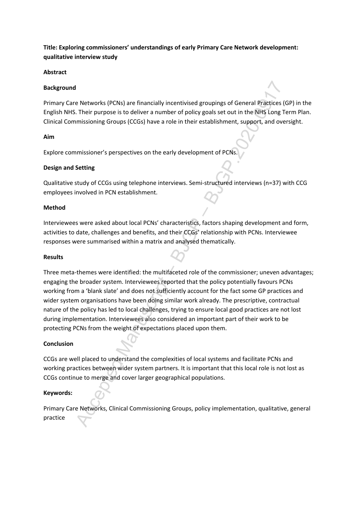**Title: Exploring commissioners' understandings of early Primary Care Network development: qualitative interview study**

#### **Abstract**

#### **Background**

Primary Care Networks (PCNs) are financially incentivised groupings of General Practices (GP) in the English NHS. Their purpose is to deliver a number of policy goals set out in the NHS Long Term Plan. Clinical Commissioning Groups (CCGs) have a role in their establishment, support, and oversight.

## **Aim**

Explore commissioner's perspectives on the early development of PCNs.

## **Design and Setting**

Qualitative study of CCGs using telephone interviews. Semi-structured interviews (n=37) with CCG employees involved in PCN establishment.

#### **Method**

Interviewees were asked about local PCNs' characteristics, factors shaping development and form, activities to date, challenges and benefits, and their CCGs' relationship with PCNs. Interviewee responses were summarised within a matrix and analysed thematically.

#### **Results**

I<br>
Increments (PCNs) are financially incentivised groupings of General Practices (G. Their purpose is to deliver a number of policy goals set out in the NHS Long Termissioning Groups (CCGs) have a role in their establishme Three meta-themes were identified: the multifaceted role of the commissioner; uneven advantages; engaging the broader system. Interviewees reported that the policy potentially favours PCNs working from a 'blank slate' and does not sufficiently account for the fact some GP practices and wider system organisations have been doing similar work already. The prescriptive, contractual nature of the policy has led to local challenges, trying to ensure local good practices are not lost during implementation. Interviewees also considered an important part of their work to be protecting PCNs from the weight of expectations placed upon them.

# **Conclusion**

CCGs are well placed to understand the complexities of local systems and facilitate PCNs and working practices between wider system partners. It is important that this local role is not lost as CCGs continue to merge and cover larger geographical populations.

# **Keywords:**

Primary Care Networks, Clinical Commissioning Groups, policy implementation, qualitative, general practice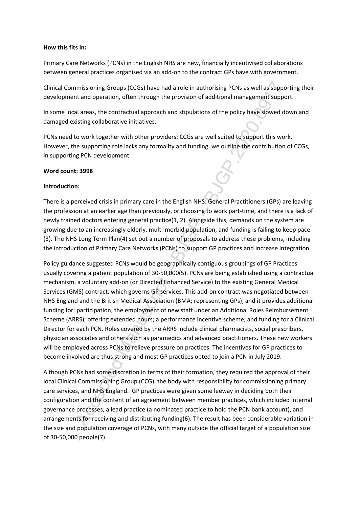#### **How this fits in:**

Primary Care Networks (PCNs) in the English NHS are new, financially incentivised collaborations between general practices organised via an add-on to the contract GPs have with government.

Clinical Commissioning Groups (CCGs) have had a role in authorising PCNs as well as supporting their development and operation, often through the provision of additional management support.

In some local areas, the contractual approach and stipulations of the policy have slowed down and damaged existing collaborative initiatives.

PCNs need to work together with other providers; CCGs are well suited to support this work. However, the supporting role lacks any formality and funding, we outline the contribution of CCGs, in supporting PCN development.

## **Word count: 3998**

# **Introduction:**

There is a perceived crisis in primary care in the English NHS: General Practitioners (GPs) are leaving the profession at an earlier age than previously, or choosing to work part-time, and there is a lack of newly trained doctors entering general practice(1, 2). Alongside this, demands on the system are growing due to an increasingly elderly, multi-morbid population, and funding is failing to keep pace (3). The NHS Long Term Plan(4) set out a number of proposals to address these problems, including the introduction of Primary Care Networks (PCNs) to support GP practices and increase integration.

missioning Groups (CCGs) have had a role in authorising PCNs as well as support and operation, often through the provision of additional management support and a reast, the contratual approach and stipulations of the polic Policy guidance suggested PCNs would be geographically contiguous groupings of GP Practices usually covering a patient population of 30-50,000(5). PCNs are being established using a contractual mechanism, a voluntary add-on (or Directed Enhanced Service) to the existing General Medical Services (GMS) contract, which governs GP services. This add-on contract was negotiated between NHS England and the British Medical Association (BMA; representing GPs), and it provides additional funding for: participation; the employment of new staff under an Additional Roles Reimbursement Scheme (ARRS); offering extended hours; a performance incentive scheme; and funding for a Clinical Director for each PCN. Roles covered by the ARRS include clinical pharmacists, social prescribers, physician associates and others such as paramedics and advanced practitioners. These new workers will be employed across PCNs to relieve pressure on practices. The incentives for GP practices to become involved are thus strong and most GP practices opted to join a PCN in July 2019.

Although PCNs had some discretion in terms of their formation, they required the approval of their local Clinical Commissioning Group (CCG), the body with responsibility for commissioning primary care services, and NHS England. GP practices were given some leeway in deciding both their configuration and the content of an agreement between member practices, which included internal governance processes, a lead practice (a nominated practice to hold the PCN bank account), and arrangements for receiving and distributing funding(6). The result has been considerable variation in the size and population coverage of PCNs, with many outside the official target of a population size of 30-50,000 people(7).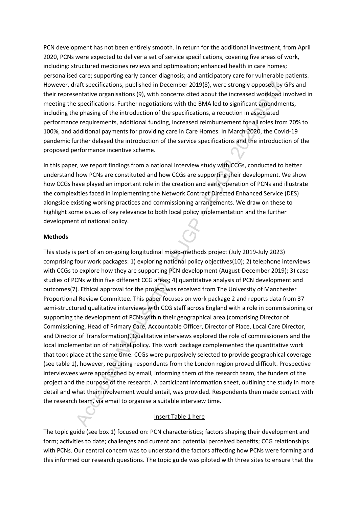PCN development has not been entirely smooth. In return for the additional investment, from April 2020, PCNs were expected to deliver a set of service specifications, covering five areas of work, including: structured medicines reviews and optimisation; enhanced health in care homes; personalised care; supporting early cancer diagnosis; and anticipatory care for vulnerable patients. However, draft specifications, published in December 2019(8), were strongly opposed by GPs and their representative organisations (9), with concerns cited about the increased workload involved in meeting the specifications. Further negotiations with the BMA led to significant amendments, including the phasing of the introduction of the specifications, a reduction in associated performance requirements, additional funding, increased reimbursement for all roles from 70% to 100%, and additional payments for providing care in Care Homes. In March 2020, the Covid-19 pandemic further delayed the introduction of the service specifications and the introduction of the proposed performance incentive scheme.

In this paper, we report findings from a national interview study with CCGs, conducted to better understand how PCNs are constituted and how CCGs are supporting their development. We show how CCGs have played an important role in the creation and early operation of PCNs and illustrate the complexities faced in implementing the Network Contract Directed Enhanced Service (DES) alongside existing working practices and commissioning arrangements. We draw on these to highlight some issues of key relevance to both local policy implementation and the further development of national policy.

#### **Methods**

raft specifications, published in December 2019(8), were strongly opposed by Gentative erganisations (9), with concerns cited about the increased worklogad in specifications. Further negotiations with the BMA led to signif This study is part of an on-going longitudinal mixed-methods project (July 2019-July 2023) comprising four work packages: 1) exploring national policy objectives(10); 2) telephone interviews with CCGs to explore how they are supporting PCN development (August-December 2019); 3) case studies of PCNs within five different CCG areas; 4) quantitative analysis of PCN development and outcomes(7). Ethical approval for the project was received from The University of Manchester Proportional Review Committee. This paper focuses on work package 2 and reports data from 37 semi-structured qualitative interviews with CCG staff across England with a role in commissioning or supporting the development of PCNs within their geographical area (comprising Director of Commissioning, Head of Primary Care, Accountable Officer, Director of Place, Local Care Director, and Director of Transformation). Qualitative interviews explored the role of commissioners and the local implementation of national policy. This work package complemented the quantitative work that took place at the same time. CCGs were purposively selected to provide geographical coverage (see table 1), however, recruiting respondents from the London region proved difficult. Prospective interviewees were approached by email, informing them of the research team, the funders of the project and the purpose of the research. A participant information sheet, outlining the study in more detail and what their involvement would entail, was provided. Respondents then made contact with the research team, via email to organise a suitable interview time.

#### Insert Table 1 here

The topic guide (see box 1) focused on: PCN characteristics; factors shaping their development and form; activities to date; challenges and current and potential perceived benefits; CCG relationships with PCNs. Our central concern was to understand the factors affecting how PCNs were forming and this informed our research questions. The topic guide was piloted with three sites to ensure that the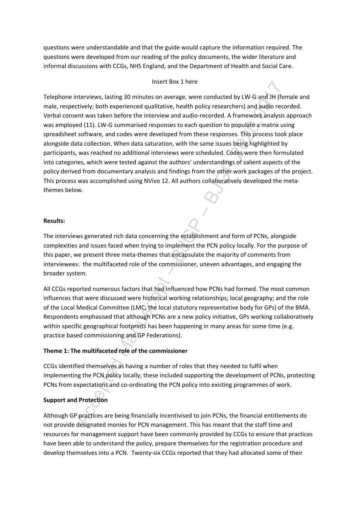questions were understandable and that the guide would capture the information required. The questions were developed from our reading of the policy documents, the wider literature and informal discussions with CCGs, NHS England, and the Department of Health and Social Care.

#### Insert Box 1 here

insert Box 1 neer<br>Interviews, lasting 30 minute on average, were conducted by LW-G and JH (fenctively; both experienced qualitative, health policy researchers) and audio record<br>ent was taken before the interview and audio-Telephone interviews, lasting 30 minutes on average, were conducted by LW-G and JH (female and male, respectively; both experienced qualitative, health policy researchers) and audio recorded. Verbal consent was taken before the interview and audio-recorded. A framework analysis approach was employed (11). LW-G summarised responses to each question to populate a matrix using spreadsheet software, and codes were developed from these responses. This process took place alongside data collection. When data saturation, with the same issues being highlighted by participants, was reached no additional interviews were scheduled. Codes were then formulated into categories, which were tested against the authors' understandings of salient aspects of the policy derived from documentary analysis and findings from the other work packages of the project. This process was accomplished using NVivo 12. All authors collaboratively developed the metathemes below.

#### **Results:**

The interviews generated rich data concerning the establishment and form of PCNs, alongside complexities and issues faced when trying to implement the PCN policy locally. For the purpose of this paper, we present three meta-themes that encapsulate the majority of comments from interviewees: the multifaceted role of the commissioner, uneven advantages, and engaging the broader system.

All CCGs reported numerous factors that had influenced how PCNs had formed. The most common influences that were discussed were historical working relationships; local geography; and the role of the Local Medical Committee (LMC; the local statutory representative body for GPs) of the BMA. Respondents emphasised that although PCNs are a new policy initiative, GPs working collaboratively within specific geographical footprints has been happening in many areas for some time (e.g. practice based commissioning and GP Federations).

#### **Theme 1: The multifaceted role of the commissioner**

CCGs identified themselves as having a number of roles that they needed to fulfil when implementing the PCN policy locally; these included supporting the development of PCNs, protecting PCNs from expectations and co-ordinating the PCN policy into existing programmes of work.

#### **Support and Protection**

Although GP practices are being financially incentivised to join PCNs, the financial entitlements do not provide designated monies for PCN management. This has meant that the staff time and resources for management support have been commonly provided by CCGs to ensure that practices have been able to understand the policy, prepare themselves for the registration procedure and develop themselves into a PCN. Twenty-six CCGs reported that they had allocated some of their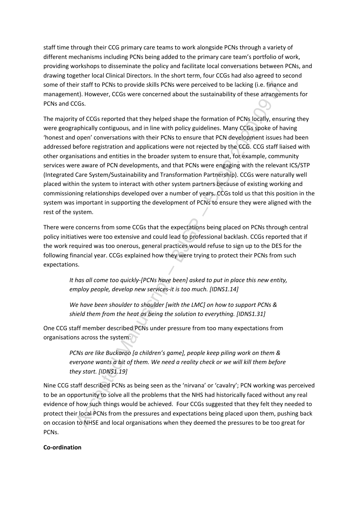staff time through their CCG primary care teams to work alongside PCNs through a variety of different mechanisms including PCNs being added to the primary care team's portfolio of work, providing workshops to disseminate the policy and facilitate local conversations between PCNs, and drawing together local Clinical Directors. In the short term, four CCGs had also agreed to second some of their staff to PCNs to provide skills PCNs were perceived to be lacking (i.e. finance and management). However, CCGs were concerned about the sustainability of these arrangements for PCNs and CCGs.

ir staff to PCNs to provide skills PCNs were perceived to be lacking (i.e. finance<br>it). However, CCGs were concerned about the sustainability of these arrangement).<br>TCGs.<br>SCS.<br>CCS.<br>SCS.<br>TCGS reported that they helped shape The majority of CCGs reported that they helped shape the formation of PCNs locally, ensuring they were geographically contiguous, and in line with policy guidelines. Many CCGs spoke of having 'honest and open' conversations with their PCNs to ensure that PCN development issues had been addressed before registration and applications were not rejected by the CCG. CCG staff liaised with other organisations and entities in the broader system to ensure that, for example, community services were aware of PCN developments, and that PCNs were engaging with the relevant ICS/STP (Integrated Care System/Sustainability and Transformation Partnership). CCGs were naturally well placed within the system to interact with other system partners because of existing working and commissioning relationships developed over a number of years. CCGs told us that this position in the system was important in supporting the development of PCNs to ensure they were aligned with the rest of the system.

There were concerns from some CCGs that the expectations being placed on PCNs through central policy initiatives were too extensive and could lead to professional backlash. CCGs reported that if the work required was too onerous, general practices would refuse to sign up to the DES for the following financial year. CCGs explained how they were trying to protect their PCNs from such expectations.

*It has all come too quickly-[PCNs have been] asked to put in place this new entity, employ people, develop new services-it is too much. [IDNS1.14]*

*We have been shoulder to shoulder [with the LMC] on how to support PCNs & shield them from the heat as being the solution to everything. [IDNS1.31]*

One CCG staff member described PCNs under pressure from too many expectations from organisations across the system:

> *PCNs are like Buckaroo [a children's game], people keep piling work on them & everyone wants a bit of them. We need a reality check or we will kill them before they start. [IDNS1.19]*

Nine CCG staff described PCNs as being seen as the 'nirvana' or 'cavalry'; PCN working was perceived to be an opportunity to solve all the problems that the NHS had historically faced without any real evidence of how such things would be achieved. Four CCGs suggested that they felt they needed to protect their local PCNs from the pressures and expectations being placed upon them, pushing back on occasion to NHSE and local organisations when they deemed the pressures to be too great for PCNs.

#### **Co-ordination**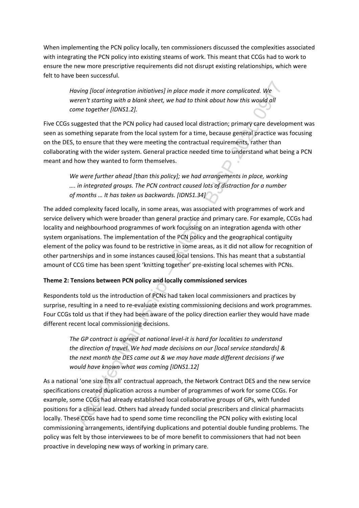When implementing the PCN policy locally, ten commissioners discussed the complexities associated with integrating the PCN policy into existing steams of work. This meant that CCGs had to work to ensure the new more prescriptive requirements did not disrupt existing relationships, which were felt to have been successful.

*Having [local integration initiatives] in place made it more complicated. We weren't starting with a blank sheet, we had to think about how this would all come together [IDNS1.2].*

Five CCGs suggested that the PCN policy had caused local distraction; primary care development was seen as something separate from the local system for a time, because general practice was focusing on the DES, to ensure that they were meeting the contractual requirements, rather than collaborating with the wider system. General practice needed time to understand what being a PCN meant and how they wanted to form themselves.

We were further ahead [than this policy]; we had arrangements in place, working *…. in integrated groups. The PCN contract caused lots of distraction for a number of months … It has taken us backwards. [IDNS1.34]*

aving flocal integration initiatives] in place mode it more complicated. We<br>crearl starting with a blank sheet, we had to think about how this would all<br>me together [IDNS1.2].<br>Exercit starting with a blonk sheet, we had to The added complexity faced locally, in some areas, was associated with programmes of work and service delivery which were broader than general practice and primary care. For example, CCGs had locality and neighbourhood programmes of work focussing on an integration agenda with other system organisations. The implementation of the PCN policy and the geographical contiguity element of the policy was found to be restrictive in some areas, as it did not allow for recognition of other partnerships and in some instances caused local tensions. This has meant that a substantial amount of CCG time has been spent 'knitting together' pre-existing local schemes with PCNs.

# **Theme 2: Tensions between PCN policy and locally commissioned services**

Respondents told us the introduction of PCNs had taken local commissioners and practices by surprise, resulting in a need to re-evaluate existing commissioning decisions and work programmes. Four CCGs told us that if they had been aware of the policy direction earlier they would have made different recent local commissioning decisions.

*The GP contract is agreed at national level-it is hard for localities to understand the direction of travel. We had made decisions on our [local service standards] & the next month the DES came out & we may have made different decisions if we would have known what was coming [IDNS1.12]*

As a national 'one size fits all' contractual approach, the Network Contract DES and the new service specifications created duplication across a number of programmes of work for some CCGs. For example, some CCGs had already established local collaborative groups of GPs, with funded positions for a clinical lead. Others had already funded social prescribers and clinical pharmacists locally. These CCGs have had to spend some time reconciling the PCN policy with existing local commissioning arrangements, identifying duplications and potential double funding problems. The policy was felt by those interviewees to be of more benefit to commissioners that had not been proactive in developing new ways of working in primary care.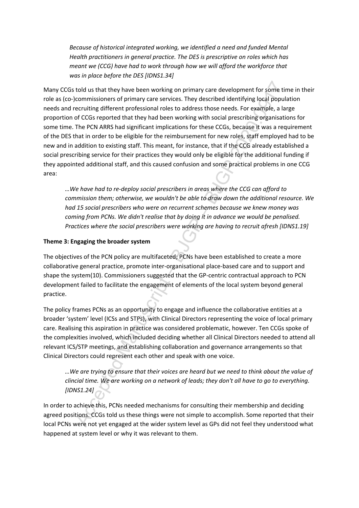*Because of historical integrated working, we identified a need and funded Mental Health practitioners in general practice. The DES is prescriptive on roles which has meant we (CCG) have had to work through how we will afford the workforce that was in place before the DES [IDNS1.34]*

told us that they have been working on primary care development for some time<br>commissioners of primary care services. They described identifying local population<br>electricing different professional role is to address those Many CCGs told us that they have been working on primary care development for some time in their role as (co-)commissioners of primary care services. They described identifying local population needs and recruiting different professional roles to address those needs. For example, a large proportion of CCGs reported that they had been working with social prescribing organisations for some time. The PCN ARRS had significant implications for these CCGs, because it was a requirement of the DES that in order to be eligible for the reimbursement for new roles, staff employed had to be new and in addition to existing staff. This meant, for instance, that if the CCG already established a social prescribing service for their practices they would only be eligible for the additional funding if they appointed additional staff, and this caused confusion and some practical problems in one CCG area:

*…We have had to re-deploy social prescribers in areas where the CCG can afford to commission them; otherwise, we wouldn't be able to draw down the additional resource. We had 15 social prescribers who were on recurrent schemes because we knew money was coming from PCNs. We didn't realise that by doing it in advance we would be penalised. Practices where the social prescribers were working are having to recruit afresh [IDNS1.19]* 

# **Theme 3: Engaging the broader system**

The objectives of the PCN policy are multifaceted; PCNs have been established to create a more collaborative general practice, promote inter-organisational place-based care and to support and shape the system(10). Commissioners suggested that the GP-centric contractual approach to PCN development failed to facilitate the engagement of elements of the local system beyond general practice.

The policy frames PCNs as an opportunity to engage and influence the collaborative entities at a broader 'system' level (ICSs and STPs), with Clinical Directors representing the voice of local primary care. Realising this aspiration in practice was considered problematic, however. Ten CCGs spoke of the complexities involved, which included deciding whether all Clinical Directors needed to attend all relevant ICS/STP meetings, and establishing collaboration and governance arrangements so that Clinical Directors could represent each other and speak with one voice.

*…We are trying to ensure that their voices are heard but we need to think about the value of clincial time. We are working on a network of leads; they don't all have to go to everything. [IDNS1.24]*

In order to achieve this, PCNs needed mechanisms for consulting their membership and deciding agreed positions. CCGs told us these things were not simple to accomplish. Some reported that their local PCNs were not yet engaged at the wider system level as GPs did not feel they understood what happened at system level or why it was relevant to them.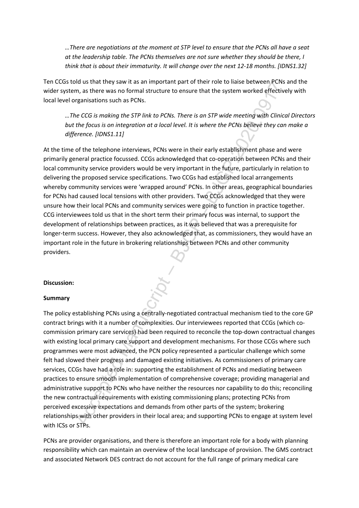*…There are negotiations at the moment at STP level to ensure that the PCNs all have a seat at the leadership table. The PCNs themselves are not sure whether they should be there, I think that is about their immaturity. It will change over the next 12-18 months. [IDNS1.32]*

Ten CCGs told us that they saw it as an important part of their role to liaise between PCNs and the wider system, as there was no formal structure to ensure that the system worked effectively with local level organisations such as PCNs.

*…The CCG is making the STP link to PCNs. There is an STP wide meeting with Clinical Directors but the focus is on integration at a local level. It is where the PCNs believe they can make a difference. [IDNS1.11]*

At the time of the telephone interviews, PCNs were in their early establishment phase and were primarily general practice focussed. CCGs acknowledged that co-operation between PCNs and their local community service providers would be very important in the future, particularly in relation to delivering the proposed service specifications. Two CCGs had established local arrangements whereby community services were 'wrapped around' PCNs. In other areas, geographical boundaries for PCNs had caused local tensions with other providers. Two CCGs acknowledged that they were unsure how their local PCNs and community services were going to function in practice together. CCG interviewees told us that in the short term their primary focus was internal, to support the development of relationships between practices, as it was believed that was a prerequisite for longer-term success. However, they also acknowledged that, as commissioners, they would have an important role in the future in brokering relationships between PCNs and other community providers.

#### **Discussion:**

#### **Summary**

Matistrane There to the Same Theorem and of their the total is the spectrosed persisted and the system worked effective m, as there was no formal structure to ensure that the system worked effective regnalisations such as The policy establishing PCNs using a centrally-negotiated contractual mechanism tied to the core GP contract brings with it a number of complexities. Our interviewees reported that CCGs (which cocommission primary care services) had been required to reconcile the top-down contractual changes with existing local primary care support and development mechanisms. For those CCGs where such programmes were most advanced, the PCN policy represented a particular challenge which some felt had slowed their progress and damaged existing initiatives. As commissioners of primary care services, CCGs have had a role in: supporting the establishment of PCNs and mediating between practices to ensure smooth implementation of comprehensive coverage; providing managerial and administrative support to PCNs who have neither the resources nor capability to do this; reconciling the new contractual requirements with existing commissioning plans; protecting PCNs from perceived excessive expectations and demands from other parts of the system; brokering relationships with other providers in their local area; and supporting PCNs to engage at system level with ICSs or STPs.

PCNs are provider organisations, and there is therefore an important role for a body with planning responsibility which can maintain an overview of the local landscape of provision. The GMS contract and associated Network DES contract do not account for the full range of primary medical care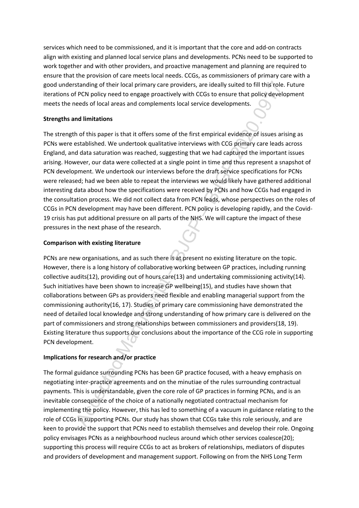services which need to be commissioned, and it is important that the core and add-on contracts align with existing and planned local service plans and developments. PCNs need to be supported to work together and with other providers, and proactive management and planning are required to ensure that the provision of care meets local needs. CCGs, as commissioners of primary care with a good understanding of their local primary care providers, are ideally suited to fill this role. Future iterations of PCN policy need to engage proactively with CCGs to ensure that policy development meets the needs of local areas and complements local service developments.

## **Strengths and limitations**

standing of their local primary care providers, are ideally suited to fill this role.<br>
FPCN policy need to engage proactively with CCGs to ensure that policy developments<br>
FPCN policy need to engage proactively with CCGs t The strength of this paper is that it offers some of the first empirical evidence of issues arising as PCNs were established. We undertook qualitative interviews with CCG primary care leads across England, and data saturation was reached, suggesting that we had captured the important issues arising. However, our data were collected at a single point in time and thus represent a snapshot of PCN development. We undertook our interviews before the draft service specifications for PCNs were released; had we been able to repeat the interviews we would likely have gathered additional interesting data about how the specifications were received by PCNs and how CCGs had engaged in the consultation process. We did not collect data from PCN leads, whose perspectives on the roles of CCGs in PCN development may have been different. PCN policy is developing rapidly, and the Covid-19 crisis has put additional pressure on all parts of the NHS. We will capture the impact of these pressures in the next phase of the research.

# **Comparison with existing literature**

PCNs are new organisations, and as such there is at present no existing literature on the topic. However, there is a long history of collaborative working between GP practices, including running collective audits(12), providing out of hours care(13) and undertaking commissioning activity(14). Such initiatives have been shown to increase GP wellbeing(15), and studies have shown that collaborations between GPs as providers need flexible and enabling managerial support from the commissioning authority(16, 17). Studies of primary care commissioning have demonstrated the need of detailed local knowledge and strong understanding of how primary care is delivered on the part of commissioners and strong relationships between commissioners and providers(18, 19). Existing literature thus supports our conclusions about the importance of the CCG role in supporting PCN development.

# **Implications for research and/or practice**

The formal guidance surrounding PCNs has been GP practice focused, with a heavy emphasis on negotiating inter-practice agreements and on the minutiae of the rules surrounding contractual payments. This is understandable, given the core role of GP practices in forming PCNs, and is an inevitable consequence of the choice of a nationally negotiated contractual mechanism for implementing the policy. However, this has led to something of a vacuum in guidance relating to the role of CCGs in supporting PCNs. Our study has shown that CCGs take this role seriously, and are keen to provide the support that PCNs need to establish themselves and develop their role. Ongoing policy envisages PCNs as a neighbourhood nucleus around which other services coalesce(20); supporting this process will require CCGs to act as brokers of relationships, mediators of disputes and providers of development and management support. Following on from the NHS Long Term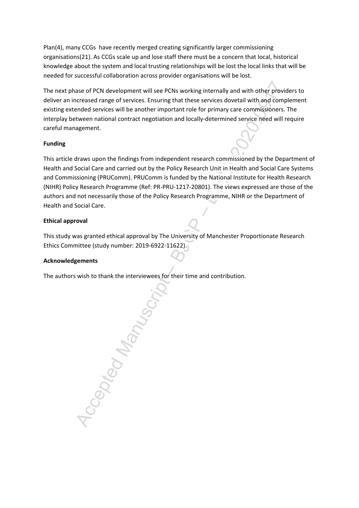Plan(4), many CCGs have recently merged creating significantly larger commissioning organisations(21). As CCGs scale up and lose staff there must be a concern that local, historical knowledge about the system and local trusting relationships will be lost the local links that will be needed for successful collaboration across provider organisations will be lost.

The next phase of PCN development will see PCNs working internally and with other providers to deliver an increased range of services. Ensuring that these services dovetail with and complement existing extended services will be another important role for primary care commissioners. The interplay between national contract negotiation and locally-determined service need will require careful management.

## **Funding**

This article draws upon the findings from independent research commissioned by the Department of Health and Social Care and carried out by the Policy Research Unit in Health and Social Care Systems and Commissioning (PRUComm). PRUComm is funded by the National Institute for Health Research (NIHR) Policy Research Programme (Ref: PR-PRU-1217-20801). The views expressed are those of the authors and not necessarily those of the Policy Research Programme, NIHR or the Department of Health and Social Care.

## **Ethical approval**

This study was granted ethical approval by The University of Manchester Proportionate Research Ethics Committee (study number: 2019-6922-11622).

#### **Acknowledgements**

The authors wish to thank the interviewees for their time and contribution.

-Cepted Manuscript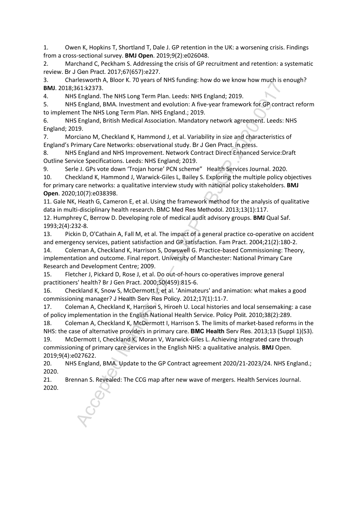1. Owen K, Hopkins T, Shortland T, Dale J. GP retention in the UK: a worsening crisis. Findings from a cross-sectional survey. **BMJ Open**. 2019;9(2):e026048.

2. Marchand C, Peckham S. Addressing the crisis of GP recruitment and retention: a systematic review. Br J Gen Pract. 2017;67(657):e227.

3. Charlesworth A, Bloor K. 70 years of NHS funding: how do we know how much is enough? **BMJ**. 2018;361:k2373.

4. NHS England. The NHS Long Term Plan. Leeds: NHS England; 2019.

5. NHS England, BMA. Investment and evolution: A five-year framework for GP contract reform to implement The NHS Long Term Plan. NHS England.; 2019.

6. NHS England, British Medical Association. Mandatory network agreement. Leeds: NHS England; 2019.

7. Morciano M, Checkland K, Hammond J, et al. Variability in size and characteristics of England's Primary Care Networks: observational study. Br J Gen Pract. in press.

8. NHS England and NHS Improvement. Network Contract Direct Enhanced Service:Draft Outline Service Specifications. Leeds: NHS England; 2019.

9. Serle J. GPs vote down 'Trojan horse' PCN scheme" Health Services Journal. 2020.

10. Checkland K, Hammond J, Warwick-Giles L, Bailey S. Exploring the multiple policy objectives for primary care networks: a qualitative interview study with national policy stakeholders. **BMJ Open**. 2020;10(7):e038398.

11. Gale NK, Heath G, Cameron E, et al. Using the framework method for the analysis of qualitative data in multi-disciplinary health research. BMC Med Res Methodol. 2013;13(1):117.

12. Humphrey C, Berrow D. Developing role of medical audit advisory groups. **BMJ** Qual Saf. 1993;2(4):232-8.

13. Pickin D, O'Cathain A, Fall M, et al. The impact of a general practice co-operative on accident and emergency services, patient satisfaction and GP satisfaction. Fam Pract. 2004;21(2):180-2.

Hearth II, Marting Health (State The Prisch Care Research in the Research in the Singland. The Singland, The Singland, The Singland, The Singland, The Singland, The Singland, The Singland, The Singland, BMA. Investment and 14. Coleman A, Checkland K, Harrison S, Dowswell G. Practice-based Commissioning: Theory, implementation and outcome. Final report. University of Manchester: National Primary Care Research and Development Centre; 2009.

15. Fletcher J, Pickard D, Rose J, et al. Do out-of-hours co-operatives improve general practitioners' health? Br J Gen Pract. 2000;50(459):815-6.

16. Checkland K, Snow S, McDermott I, et al. 'Animateurs' and animation: what makes a good commissioning manager? J Health Serv Res Policy. 2012;17(1):11-7.

17. Coleman A, Checkland K, Harrison S, Hiroeh U. Local histories and local sensemaking: a case of policy implementation in the English National Health Service. Policy Polit. 2010;38(2):289.

18. Coleman A, Checkland K, McDermott I, Harrison S. The limits of market-based reforms in the NHS: the case of alternative providers in primary care. **BMC Health** Serv Res. 2013;13 (Suppl 1)(S3).

19. McDermott I, Checkland K, Moran V, Warwick-Giles L. Achieving integrated care through commissioning of primary care services in the English NHS: a qualitative analysis. **BMJ** Open. 2019;9(4):e027622.

20. NHS England, BMA. Update to the GP Contract agreement 2020/21-2023/24. NHS England.; 2020.

21. Brennan S. Revealed: The CCG map after new wave of mergers. Health Services Journal. 2020.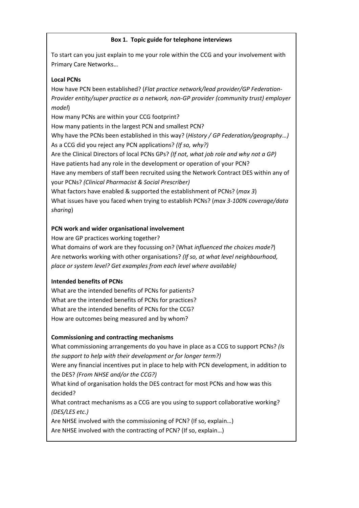# **Box 1. Topic guide for telephone interviews**

To start can you just explain to me your role within the CCG and your involvement with Primary Care Networks…

#### **Local PCNs**

How have PCN been established? (*Flat practice network/lead provider/GP Federation-Provider entity/super practice as a network, non-GP provider (community trust) employer model*)

How many PCNs are within your CCG footprint?

How many patients in the largest PCN and smallest PCN?

Why have the PCNs been established in this way? (*History / GP Federation/geography…)* As a CCG did you reject any PCN applications? *(If so, why?)*

Are the Clinical Directors of local PCNs GPs? *(If not, what job role and why not a GP)* Have patients had any role in the development or operation of your PCN?

Have any members of staff been recruited using the Network Contract DES within any of your PCNs? *(Clinical Pharmacist & Social Prescriber)*

What factors have enabled & supported the establishment of PCNs? (*max 3*) What issues have you faced when trying to establish PCNs? (*max 3-100% coverage/data sharing*)

## **PCN work and wider organisational involvement**

How are GP practices working together?

What domains of work are they focussing on? (What *influenced the choices made?*) Are networks working with other organisations? *(If so, at what level neighbourhood, place or system level? Get examples from each level where available)*

# **Intended benefits of PCNs**

What are the intended benefits of PCNs for patients? What are the intended benefits of PCNs for practices? What are the intended benefits of PCNs for the CCG? How are outcomes being measured and by whom?

# **Commissioning and contracting mechanisms**

**CPN been established?** (*Flat practice network/lead provider/GP Federation-*<br>
PCN been established? (*Flat practice network/lead provider (community trust) employer*<br>
PCN been established in this way? (*History / GP Fede* What commissioning arrangements do you have in place as a CCG to support PCNs? *(Is the support to help with their development or for longer term?)* Were any financial incentives put in place to help with PCN development, in addition to the DES? *(From NHSE and/or the CCG?)*

What kind of organisation holds the DES contract for most PCNs and how was this decided?

What contract mechanisms as a CCG are you using to support collaborative working? *(DES/LES etc.)*

Are NHSE involved with the commissioning of PCN? (If so, explain…)

Are NHSE involved with the contracting of PCN? (If so, explain…)